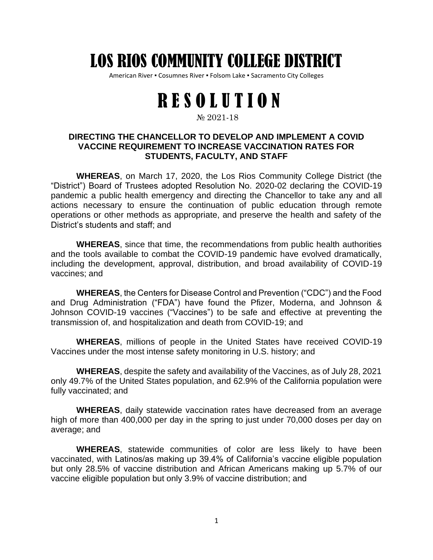## LOS RIOS COMMUNITY COLLEGE DISTRICT

American River • Cosumnes River • Folsom Lake • Sacramento City Colleges

## RESOLUTION

## № 2021-18

## **DIRECTING THE CHANCELLOR TO DEVELOP AND IMPLEMENT A COVID VACCINE REQUIREMENT TO INCREASE VACCINATION RATES FOR STUDENTS, FACULTY, AND STAFF**

**WHEREAS**, on March 17, 2020, the Los Rios Community College District (the "District") Board of Trustees adopted Resolution No. 2020-02 declaring the COVID-19 pandemic a public health emergency and directing the Chancellor to take any and all actions necessary to ensure the continuation of public education through remote operations or other methods as appropriate, and preserve the health and safety of the District's students and staff; and

**WHEREAS**, since that time, the recommendations from public health authorities and the tools available to combat the COVID-19 pandemic have evolved dramatically, including the development, approval, distribution, and broad availability of COVID-19 vaccines; and

**WHEREAS**, the Centers for Disease Control and Prevention ("CDC") and the Food and Drug Administration ("FDA") have found the Pfizer, Moderna, and Johnson & Johnson COVID-19 vaccines ("Vaccines") to be safe and effective at preventing the transmission of, and hospitalization and death from COVID-19; and

**WHEREAS**, millions of people in the United States have received COVID-19 Vaccines under the most intense safety monitoring in U.S. history; and

**WHEREAS**, despite the safety and availability of the Vaccines, as of July 28, 2021 only 49.7% of the United States population, and 62.9% of the California population were fully vaccinated; and

**WHEREAS**, daily statewide vaccination rates have decreased from an average high of more than 400,000 per day in the spring to just under 70,000 doses per day on average; and

**WHEREAS**, statewide communities of color are less likely to have been vaccinated, with Latinos/as making up 39.4% of California's vaccine eligible population but only 28.5% of vaccine distribution and African Americans making up 5.7% of our vaccine eligible population but only 3.9% of vaccine distribution; and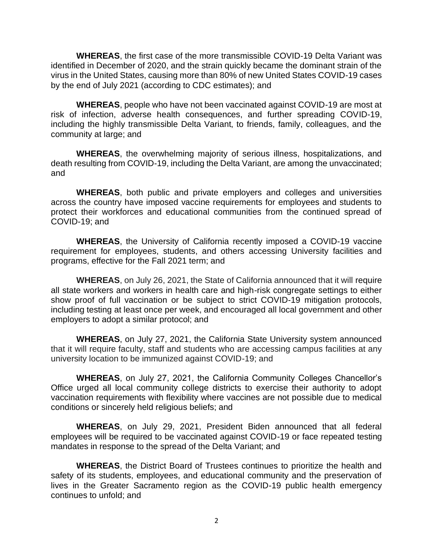**WHEREAS**, the first case of the more transmissible COVID-19 Delta Variant was identified in December of 2020, and the strain quickly became the dominant strain of the virus in the United States, causing more than 80% of new United States COVID-19 cases by the end of July 2021 (according to CDC estimates); and

**WHEREAS**, people who have not been vaccinated against COVID-19 are most at risk of infection, adverse health consequences, and further spreading COVID-19, including the highly transmissible Delta Variant, to friends, family, colleagues, and the community at large; and

**WHEREAS**, the overwhelming majority of serious illness, hospitalizations, and death resulting from COVID-19, including the Delta Variant, are among the unvaccinated; and

**WHEREAS**, both public and private employers and colleges and universities across the country have imposed vaccine requirements for employees and students to protect their workforces and educational communities from the continued spread of COVID-19; and

**WHEREAS**, the University of California recently imposed a COVID-19 vaccine requirement for employees, students, and others accessing University facilities and programs, effective for the Fall 2021 term; and

**WHEREAS**, on July 26, 2021, the State of California announced that it will require all state workers and workers in health care and high-risk congregate settings to either show proof of full vaccination or be subject to strict COVID-19 mitigation protocols, including testing at least once per week, and encouraged all local government and other employers to adopt a similar protocol; and

**WHEREAS**, on July 27, 2021, the California State University system announced that it will require faculty, staff and students who are accessing campus facilities at any university location to be immunized against COVID-19; and

**WHEREAS**, on July 27, 2021, the California Community Colleges Chancellor's Office urged all local community college districts to exercise their authority to adopt vaccination requirements with flexibility where vaccines are not possible due to medical conditions or sincerely held religious beliefs; and

**WHEREAS**, on July 29, 2021, President Biden announced that all federal employees will be required to be vaccinated against COVID-19 or face repeated testing mandates in response to the spread of the Delta Variant; and

**WHEREAS**, the District Board of Trustees continues to prioritize the health and safety of its students, employees, and educational community and the preservation of lives in the Greater Sacramento region as the COVID-19 public health emergency continues to unfold; and